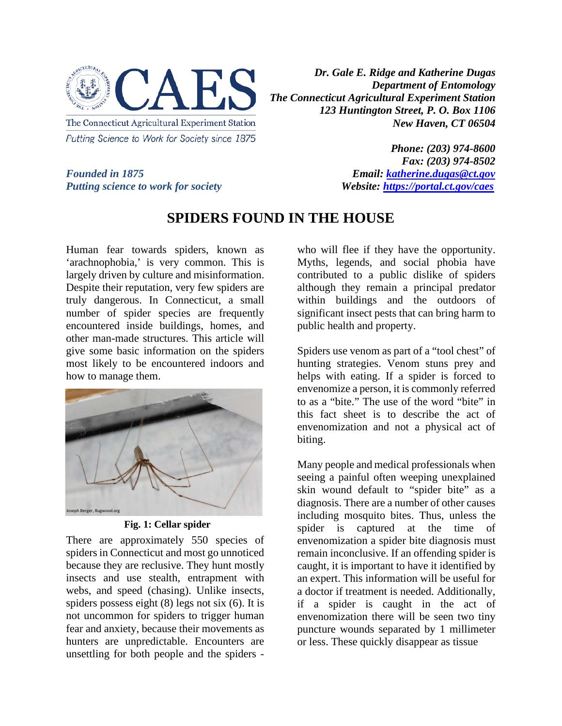

*Dr. Gale E. Ridge and Katherine Dugas Department of Entomology The Connecticut Agricultural Experiment Station 123 Huntington Street, P. O. Box 1106 New Haven, CT 06504*

*Putting science to work for society* 

*Phone: (203) 974-8600 Fax: (203) 974-8502 Founded in 1875*<br> *Founded in 1875*<br> *Putting science to work for society*<br> *Founded in 1875*<br> *Founded in 1875* 

# **SPIDERS FOUND IN THE HOUSE**

Human fear towards spiders, known as 'arachnophobia,' is very common. This is largely driven by culture and misinformation. Despite their reputation, very few spiders are truly dangerous. In Connecticut, a small number of spider species are frequently encountered inside buildings, homes, and other man-made structures. This article will give some basic information on the spiders most likely to be encountered indoors and how to manage them.



**Fig. 1: Cellar spider**

There are approximately 550 species of spiders in Connecticut and most go unnoticed because they are reclusive. They hunt mostly insects and use stealth, entrapment with webs, and speed (chasing). Unlike insects, spiders possess eight (8) legs not six (6). It is not uncommon for spiders to trigger human fear and anxiety, because their movements as hunters are unpredictable. Encounters are unsettling for both people and the spiders -

who will flee if they have the opportunity. Myths, legends, and social phobia have contributed to a public dislike of spiders although they remain a principal predator within buildings and the outdoors of significant insect pests that can bring harm to public health and property.

Spiders use venom as part of a "tool chest" of hunting strategies. Venom stuns prey and helps with eating. If a spider is forced to envenomize a person, it is commonly referred to as a "bite." The use of the word "bite" in this fact sheet is to describe the act of envenomization and not a physical act of biting.

Many people and medical professionals when seeing a painful often weeping unexplained skin wound default to "spider bite" as a diagnosis. There are a number of other causes including mosquito bites. Thus, unless the spider is captured at the time of envenomization a spider bite diagnosis must remain inconclusive. If an offending spider is caught, it is important to have it identified by an expert. This information will be useful for a doctor if treatment is needed. Additionally, if a spider is caught in the act of envenomization there will be seen two tiny puncture wounds separated by 1 millimeter or less. These quickly disappear as tissue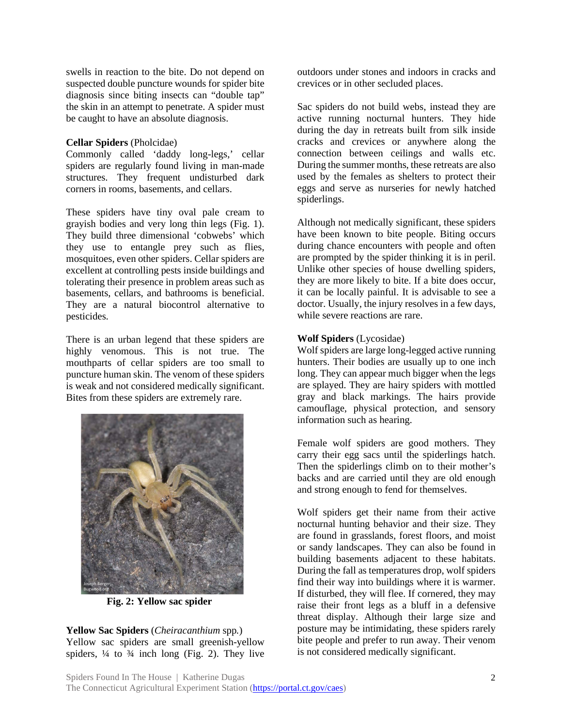swells in reaction to the bite. Do not depend on suspected double puncture wounds for spider bite diagnosis since biting insects can "double tap" the skin in an attempt to penetrate. A spider must be caught to have an absolute diagnosis.

#### **Cellar Spiders** (Pholcidae)

Commonly called 'daddy long-legs,' cellar spiders are regularly found living in man-made structures. They frequent undisturbed dark corners in rooms, basements, and cellars.

These spiders have tiny oval pale cream to grayish bodies and very long thin legs (Fig. 1). They build three dimensional 'cobwebs' which they use to entangle prey such as flies, mosquitoes, even other spiders. Cellar spiders are excellent at controlling pests inside buildings and tolerating their presence in problem areas such as basements, cellars, and bathrooms is beneficial. They are a natural biocontrol alternative to pesticides.

There is an urban legend that these spiders are highly venomous. This is not true. The mouthparts of cellar spiders are too small to puncture human skin. The venom of these spiders is weak and not considered medically significant. Bites from these spiders are extremely rare.



**Fig. 2: Yellow sac spider**

**Yellow Sac Spiders** (*Cheiracanthium* spp*.*) Yellow sac spiders are small greenish-yellow spiders,  $\frac{1}{4}$  to  $\frac{3}{4}$  inch long (Fig. 2). They live outdoors under stones and indoors in cracks and crevices or in other secluded places.

Sac spiders do not build webs, instead they are active running nocturnal hunters. They hide during the day in retreats built from silk inside cracks and crevices or anywhere along the connection between ceilings and walls etc. During the summer months, these retreats are also used by the females as shelters to protect their eggs and serve as nurseries for newly hatched spiderlings.

Although not medically significant, these spiders have been known to bite people. Biting occurs during chance encounters with people and often are prompted by the spider thinking it is in peril. Unlike other species of house dwelling spiders, they are more likely to bite. If a bite does occur, it can be locally painful. It is advisable to see a doctor. Usually, the injury resolves in a few days, while severe reactions are rare.

# **Wolf Spiders** (Lycosidae)

Wolf spiders are large long-legged active running hunters. Their bodies are usually up to one inch long. They can appear much bigger when the legs are splayed. They are hairy spiders with mottled gray and black markings. The hairs provide camouflage, physical protection, and sensory information such as hearing.

Female wolf spiders are good mothers. They carry their egg sacs until the spiderlings hatch. Then the spiderlings climb on to their mother's backs and are carried until they are old enough and strong enough to fend for themselves.

Wolf spiders get their name from their active nocturnal hunting behavior and their size. They are found in grasslands, forest floors, and moist or sandy landscapes. They can also be found in building basements adjacent to these habitats. During the fall as temperatures drop, wolf spiders find their way into buildings where it is warmer. If disturbed, they will flee. If cornered, they may raise their front legs as a bluff in a defensive threat display. Although their large size and posture may be intimidating, these spiders rarely bite people and prefer to run away. Their venom is not considered medically significant.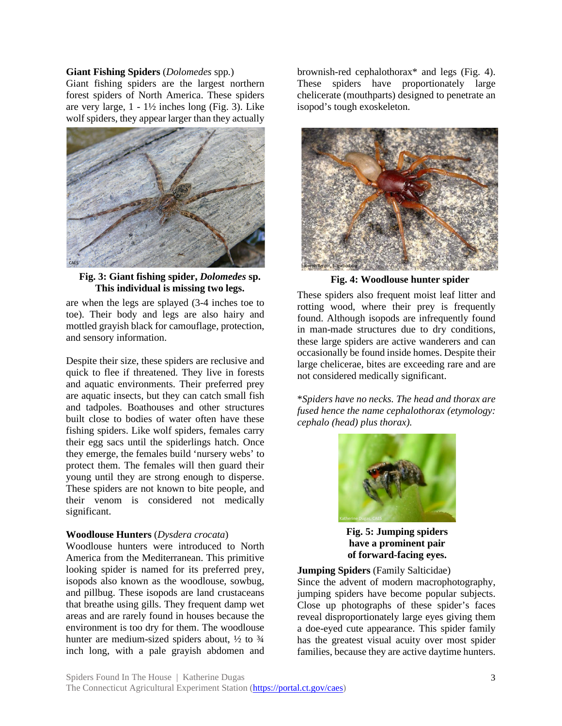#### **Giant Fishing Spiders** (*Dolomedes* spp*.*)

Giant fishing spiders are the largest northern forest spiders of North America. These spiders are very large,  $1 - 1\frac{1}{2}$  inches long (Fig. 3). Like wolf spiders, they appear larger than they actually



**Fig. 3: Giant fishing spider,** *Dolomedes* **sp. This individual is missing two legs.**

are when the legs are splayed (3-4 inches toe to toe). Their body and legs are also hairy and mottled grayish black for camouflage, protection, and sensory information.

Despite their size, these spiders are reclusive and quick to flee if threatened. They live in forests and aquatic environments. Their preferred prey are aquatic insects, but they can catch small fish and tadpoles. Boathouses and other structures built close to bodies of water often have these fishing spiders. Like wolf spiders, females carry their egg sacs until the spiderlings hatch. Once they emerge, the females build 'nursery webs' to protect them. The females will then guard their young until they are strong enough to disperse. These spiders are not known to bite people, and their venom is considered not medically significant.

# **Woodlouse Hunters** (*Dysdera crocata*)

Woodlouse hunters were introduced to North America from the Mediterranean. This primitive looking spider is named for its preferred prey, isopods also known as the woodlouse, sowbug, and pillbug. These isopods are land crustaceans that breathe using gills. They frequent damp wet areas and are rarely found in houses because the environment is too dry for them. The woodlouse hunter are medium-sized spiders about,  $\frac{1}{2}$  to  $\frac{3}{4}$ inch long, with a pale grayish abdomen and

brownish-red cephalothorax\* and legs (Fig. 4). These spiders have proportionately large chelicerate (mouthparts) designed to penetrate an isopod's tough exoskeleton.



**Fig. 4: Woodlouse hunter spider**

These spiders also frequent moist leaf litter and rotting wood, where their prey is frequently found. Although isopods are infrequently found in man-made structures due to dry conditions, these large spiders are active wanderers and can occasionally be found inside homes. Despite their large chelicerae, bites are exceeding rare and are not considered medically significant.

\**Spiders have no necks. The head and thorax are fused hence the name cephalothorax (etymology: cephalo (head) plus thorax).*



**Fig. 5: Jumping spiders have a prominent pair of forward-facing eyes.**

# **Jumping Spiders** (Family Salticidae)

Since the advent of modern macrophotography, jumping spiders have become popular subjects. Close up photographs of these spider's faces reveal disproportionately large eyes giving them a doe-eyed cute appearance. This spider family has the greatest visual acuity over most spider families, because they are active daytime hunters.